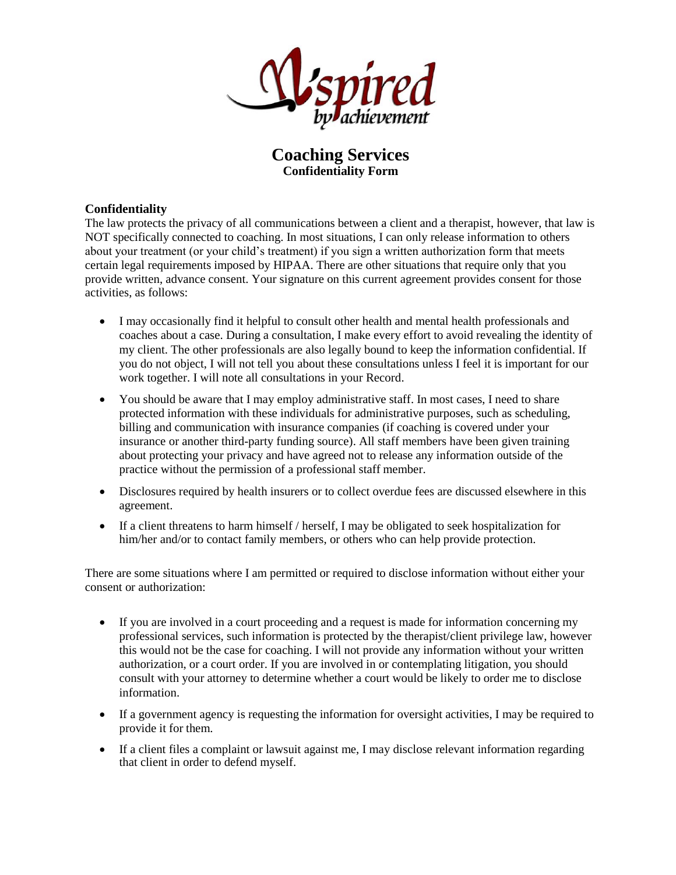

## **Coaching Services Confidentiality Form**

## **Confidentiality**

The law protects the privacy of all communications between a client and a therapist, however, that law is NOT specifically connected to coaching. In most situations, I can only release information to others about your treatment (or your child's treatment) if you sign a written authorization form that meets certain legal requirements imposed by HIPAA. There are other situations that require only that you provide written, advance consent. Your signature on this current agreement provides consent for those activities, as follows:

- I may occasionally find it helpful to consult other health and mental health professionals and coaches about a case. During a consultation, I make every effort to avoid revealing the identity of my client. The other professionals are also legally bound to keep the information confidential. If you do not object, I will not tell you about these consultations unless I feel it is important for our work together. I will note all consultations in your Record.
- You should be aware that I may employ administrative staff. In most cases, I need to share protected information with these individuals for administrative purposes, such as scheduling, billing and communication with insurance companies (if coaching is covered under your insurance or another third-party funding source). All staff members have been given training about protecting your privacy and have agreed not to release any information outside of the practice without the permission of a professional staff member.
- Disclosures required by health insurers or to collect overdue fees are discussed elsewhere in this agreement.
- If a client threatens to harm himself / herself, I may be obligated to seek hospitalization for him/her and/or to contact family members, or others who can help provide protection.

There are some situations where I am permitted or required to disclose information without either your consent or authorization:

- If you are involved in a court proceeding and a request is made for information concerning my professional services, such information is protected by the therapist/client privilege law, however this would not be the case for coaching. I will not provide any information without your written authorization, or a court order. If you are involved in or contemplating litigation, you should consult with your attorney to determine whether a court would be likely to order me to disclose information.
- If a government agency is requesting the information for oversight activities, I may be required to provide it for them.
- If a client files a complaint or lawsuit against me, I may disclose relevant information regarding that client in order to defend myself.